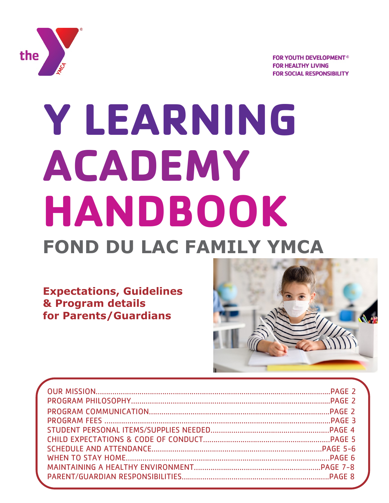

**FOR YOUTH DEVELOPMENT® FOR HEALTHY LIVING FOR SOCIAL RESPONSIBILITY** 

# **Y LEARNING ACADEMY HANDBOOK FOND DU LAC FAMILY YMCA**

**Expectations, Guidelines & Program details for Parents/Guardians**

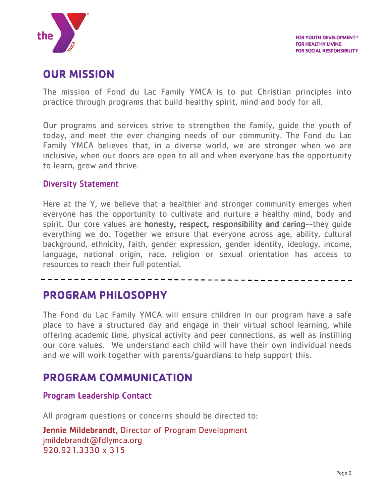

# **OUR MISSION**

The mission of Fond du Lac Family YMCA is to put Christian principles into practice through programs that build healthy spirit, mind and body for all.

Our programs and services strive to strengthen the family, guide the youth of today, and meet the ever changing needs of our community. The Fond du Lac Family YMCA believes that, in a diverse world, we are stronger when we are inclusive, when our doors are open to all and when everyone has the opportunity to learn, grow and thrive.

## Diversity Statement

Here at the Y, we believe that a healthier and stronger community emerges when everyone has the opportunity to cultivate and nurture a healthy mind, body and spirit. Our core values are honesty, respect, responsibility and caring--they quide everything we do. Together we ensure that everyone across age, ability, cultural background, ethnicity, faith, gender expression, gender identity, ideology, income, language, national origin, race, religion or sexual orientation has access to resources to reach their full potential.

## **PROGRAM PHILOSOPHY**

The Fond du Lac Family YMCA will ensure children in our program have a safe place to have a structured day and engage in their virtual school learning, while offering academic time, physical activity and peer connections, as well as instilling our core values. We understand each child will have their own individual needs and we will work together with parents/guardians to help support this.

## **PROGRAM COMMUNICATION**

#### Program Leadership Contact

All program questions or concerns should be directed to:

Jennie Mildebrandt, Director of Program Development jmildebrandt@fdlymca.org 920.921.3330 x 315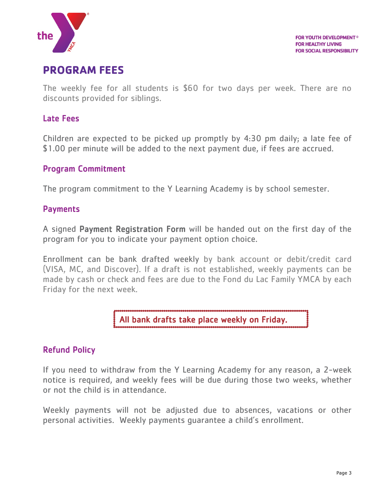

# **PROGRAM FEES**

The weekly fee for all students is \$60 for two days per week. There are no discounts provided for siblings.

## Late Fees

Children are expected to be picked up promptly by 4:30 pm daily; a late fee of \$1.00 per minute will be added to the next payment due, if fees are accrued.

#### Program Commitment

The program commitment to the Y Learning Academy is by school semester.

## **Payments**

A signed Payment Registration Form will be handed out on the first day of the program for you to indicate your payment option choice.

Enrollment can be bank drafted weekly by bank account or debit/credit card (VISA, MC, and Discover). If a draft is not established, weekly payments can be made by cash or check and fees are due to the Fond du Lac Family YMCA by each Friday for the next week.

All bank drafts take place weekly on Friday.

## Refund Policy

If you need to withdraw from the Y Learning Academy for any reason, a 2-week notice is required, and weekly fees will be due during those two weeks, whether or not the child is in attendance.

Weekly payments will not be adjusted due to absences, vacations or other personal activities. Weekly payments guarantee a child's enrollment.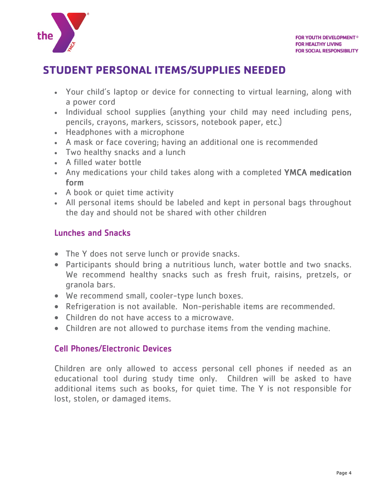

# **STUDENT PERSONAL ITEMS/SUPPLIES NEEDED**

- Your child's laptop or device for connecting to virtual learning, along with a power cord
- Individual school supplies (anything your child may need including pens, pencils, crayons, markers, scissors, notebook paper, etc.)
- Headphones with a microphone
- A mask or face covering; having an additional one is recommended
- Two healthy snacks and a lunch
- A filled water bottle
- Any medications your child takes along with a completed YMCA medication form
- A book or quiet time activity
- All personal items should be labeled and kept in personal bags throughout the day and should not be shared with other children

## Lunches and Snacks

- The Y does not serve lunch or provide snacks.
- Participants should bring a nutritious lunch, water bottle and two snacks. We recommend healthy snacks such as fresh fruit, raisins, pretzels, or granola bars.
- We recommend small, cooler-type lunch boxes.
- Refrigeration is not available. Non-perishable items are recommended.
- Children do not have access to a microwave.
- Children are not allowed to purchase items from the vending machine.

## Cell Phones/Electronic Devices

Children are only allowed to access personal cell phones if needed as an educational tool during study time only. Children will be asked to have additional items such as books, for quiet time. The Y is not responsible for lost, stolen, or damaged items.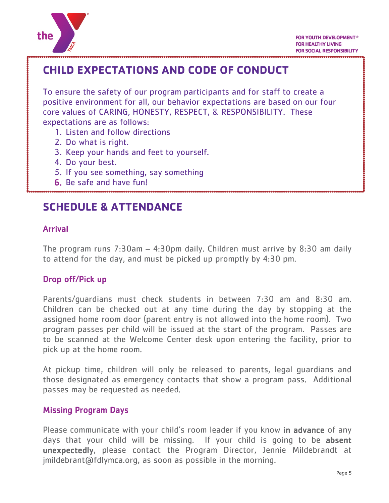

# **CHILD EXPECTATIONS AND CODE OF CONDUCT**

To ensure the safety of our program participants and for staff to create a positive environment for all, our behavior expectations are based on our four core values of CARING, HONESTY, RESPECT, & RESPONSIBILITY. These expectations are as follows:

- 1. Listen and follow directions
- 2. Do what is right.
- 3. Keep your hands and feet to yourself.
- 4. Do your best.
- 5. If you see something, say something
- 6. Be safe and have fun!

# **SCHEDULE & ATTENDANCE**

## Arrival

×

The program runs 7:30am – 4:30pm daily. Children must arrive by 8:30 am daily to attend for the day, and must be picked up promptly by 4:30 pm.

## Drop off/Pick up

Parents/guardians must check students in between 7:30 am and 8:30 am. Children can be checked out at any time during the day by stopping at the assigned home room door (parent entry is not allowed into the home room). Two program passes per child will be issued at the start of the program. Passes are to be scanned at the Welcome Center desk upon entering the facility, prior to pick up at the home room.

At pickup time, children will only be released to parents, legal guardians and those designated as emergency contacts that show a program pass. Additional passes may be requested as needed.

## Missing Program Days

Please communicate with your child's room leader if you know in advance of any days that your child will be missing. If your child is going to be absent unexpectedly, please contact the Program Director, Jennie Mildebrandt at jmildebrant@fdlymca.org, as soon as possible in the morning.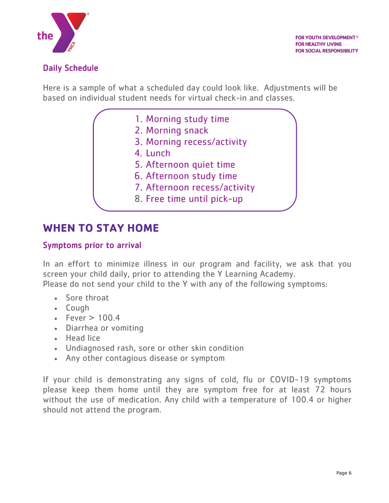

## Daily Schedule

Here is a sample of what a scheduled day could look like. Adjustments will be based on individual student needs for virtual check-in and classes.

- 1. Morning study time
- 2. Morning snack
- 3. Morning recess/activity
- 4. Lunch
- 5. Afternoon quiet time
- 6. Afternoon study time
- 7. Afternoon recess/activity
- 8. Free time until pick-up

## **WHEN TO STAY HOME**

## Symptoms prior to arrival

In an effort to minimize illness in our program and facility, we ask that you screen your child daily, prior to attending the Y Learning Academy. Please do not send your child to the Y with any of the following symptoms:

- Sore throat
- Cough
- Fever  $> 100.4$
- Diarrhea or vomiting
- Head lice
- Undiagnosed rash, sore or other skin condition
- Any other contagious disease or symptom

If your child is demonstrating any signs of cold, flu or COVID-19 symptoms please keep them home until they are symptom free for at least 72 hours without the use of medication. Any child with a temperature of 100.4 or higher should not attend the program.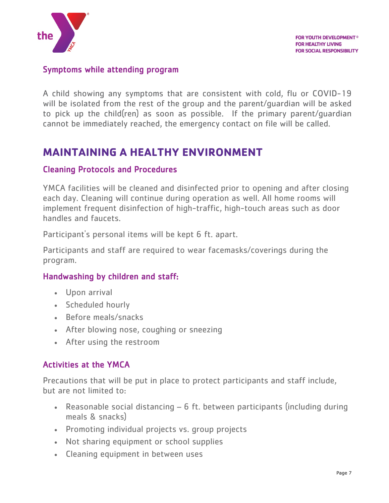

#### Symptoms while attending program

A child showing any symptoms that are consistent with cold, flu or COVID-19 will be isolated from the rest of the group and the parent/guardian will be asked to pick up the child(ren) as soon as possible. If the primary parent/guardian cannot be immediately reached, the emergency contact on file will be called.

# **MAINTAINING A HEALTHY ENVIRONMENT**

## Cleaning Protocols and Procedures

YMCA facilities will be cleaned and disinfected prior to opening and after closing each day. Cleaning will continue during operation as well. All home rooms will implement frequent disinfection of high-traffic, high-touch areas such as door handles and faucets.

Participant's personal items will be kept 6 ft. apart.

Participants and staff are required to wear facemasks/coverings during the program.

## Handwashing by children and staff:

- Upon arrival
- Scheduled hourly
- Before meals/snacks
- After blowing nose, coughing or sneezing
- After using the restroom

## Activities at the YMCA

Precautions that will be put in place to protect participants and staff include, but are not limited to:

- Reasonable social distancing 6 ft. between participants (including during meals & snacks)
- Promoting individual projects vs. group projects
- Not sharing equipment or school supplies
- Cleaning equipment in between uses